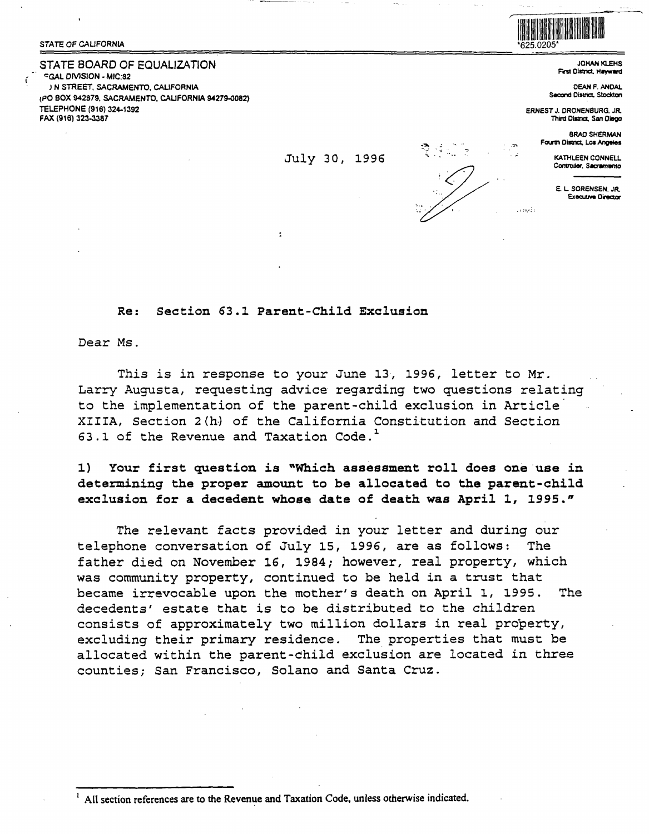## STATE OF CALIFORNIA

## STATE BOARD OF EQUALIZATION

**FGAL DIVISION - MIC:82** IN STREET, SACRAMENTO, CALIFORNIA (PO BOX 942879, SACRAMENTO, CALIFORNIA 94279-0082) TELEPHONE (916) 324-1392 FAX (916) 323-3387



**JOHAN KLEHS** First District, Hayward

**DEAN F. ANDAL** Second District, Stockton

**ERNEST J. DRONENBURG, JR.** Third District, San Diego

is and s

**BRAD SHERMAN** Fourth District, Los Angeles

> KATHLEEN CONNELL Controller, Sacramento

E. L. SORENSEN, JR. **Executive Director** 

Section 63.1 Parent-Child Exclusion

Dear Ms.

**Re:** 

This is in response to your June 13, 1996, letter to Mr. Larry Augusta, requesting advice regarding two questions relating to the implementation of the parent-child exclusion in Article XIIIA, Section 2(h) of the California Constitution and Section 63.1 of the Revenue and Taxation Code.<sup>1</sup>

July 30, 1996

 $1)$ Your first question is "Which assessment roll does one use in determining the proper amount to be allocated to the parent-child exclusion for a decedent whose date of death was April 1, 1995."

The relevant facts provided in your letter and during our telephone conversation of July 15, 1996, are as follows: The father died on November 16, 1984; however, real property, which was community property, continued to be held in a trust that became irrevocable upon the mother's death on April 1, 1995. The decedents' estate that is to be distributed to the children consists of approximately two million dollars in real property, excluding their primary residence. The properties that must be allocated within the parent-child exclusion are located in three counties; San Francisco, Solano and Santa Cruz.

All section references are to the Revenue and Taxation Code, unless otherwise indicated.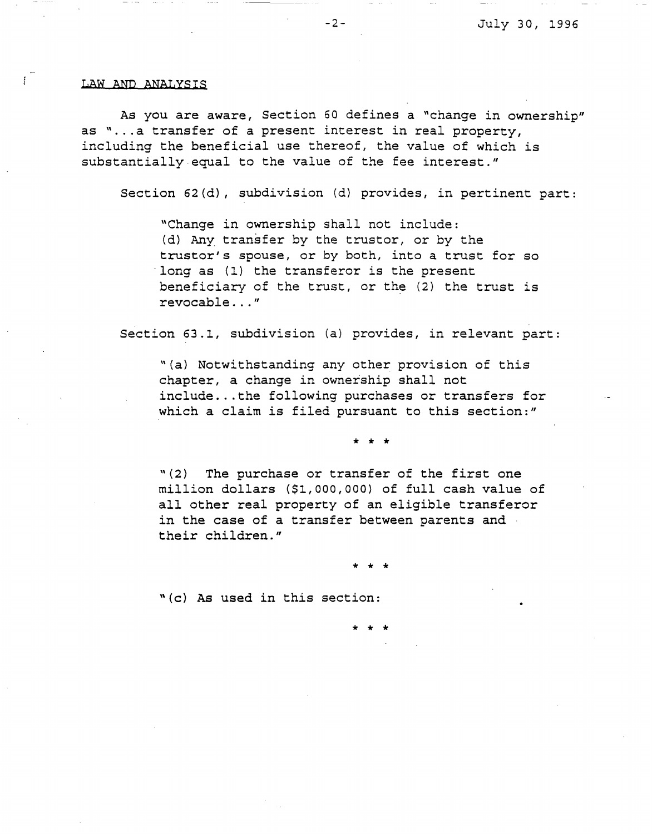## LAW AND **ANALYSIS**

 $\mathbf{r}$ 

As you are aware, Section 60 defines a "change in ownership" as "... a transfer of a present interest in real property, including the beneficial use thereof, the value of which is substantially.equal to the value of the fee interest."

Section 62(d), subdivision (d) provides, in pertinent part:

"Change in ownership shall not include: (d) Any transfer by the trustor, or by the truster's spouse, or by both, into a trust for so long as (1) the transferor is the present beneficiary of the trust, or the (2) the trust is revocable ... "

Section 63.1, subdivision (a) provides, in relevant part:

"(a) Notwithstanding any other provision of this chapter, a change in ownership shall not include ... the following purchases or transfers for which a claim is filed pursuant to this section:"

\* \* \*

"(2) The purchase or transfer of the first one million dollars (\$1,000,000) of full cash value of all other real property of an eligible transferor in the case of a transfer between parents and their children."

\* \* \*

\* \* \*

"(c) As used in this section: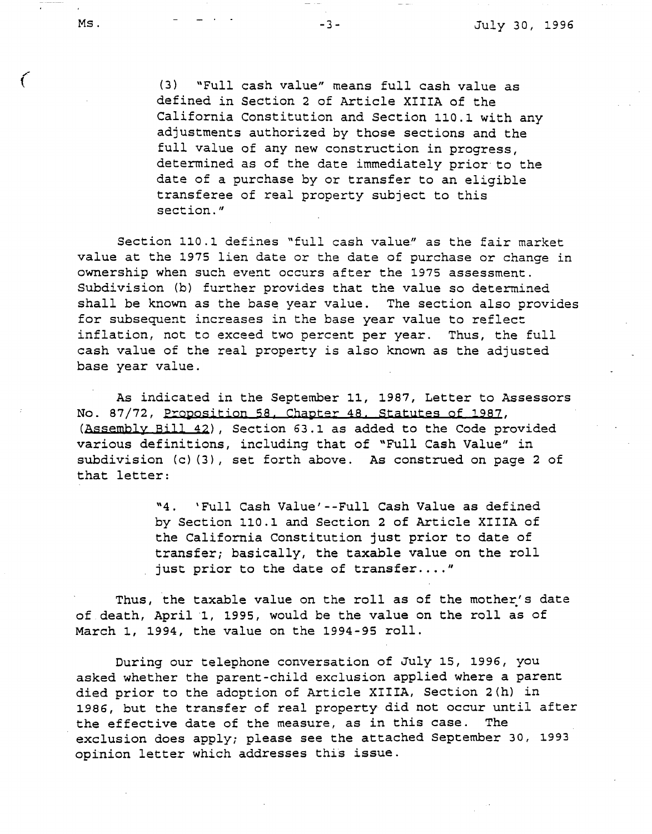(3) "Full cash value" means full cash value as defined in Section 2 of Article **XIIIA** of the California Constitution and Section 110.1 with any adjustments authorized by those sections and the full value of any new construction in progress, determined as of the date immediately prior to the date of a purchase by or transfer to an eligible transferee of real property subject to this section."

Section 110.1 defines "full cash value" as the fair market value at the 1975 lien date or the date of purchase or change in ownership when such event occurs after the 1975 assessment. Subdivision (b) further provides that the value so determined shall be known as the base year value. The section also provides for subsequent increases in the base year value to reflect inflation, not to exceed two percent per year. Thus, the full cash value of the real property is also known as the adjusted base year value.

As indicated in the September 11, 1987, Letter to Assessors No. 87/72, Proposition 58, Chapter 48, Statutes of 1987, **(Assembly Bill 42),** Section 63.1 as added to the Code provided various definitions, including that of "Full Cash Value" in subdivision (c) (3), set forth above. As construed on page 2 of that letter:

> "4. 'Full Cash Value'--Full Cash Value as defined by Section 110.1 and Section 2 of Article XIIIA of the California Constitution just prior to date of transfer; basically, the taxable value on the roll just prior to the date of transfer...."

Thus, the taxable value on the roll as of the mother's date of death, April ·1, 1995, would be the value on the roll as of March 1, 1994, the value on the 1994-95 roll.

During our telephone conversation of July 15, 1996, you asked whether the parent-child exclusion applied where a parent died prior to the adoption of Article **XIIIA,** Section 2(h) in 1986, but the transfer of real property did not occur until after the effective date of the measure, as in this case. The exclusion does apply; please see the attached September 30, 1993 opinion letter which addresses this issue.

Ç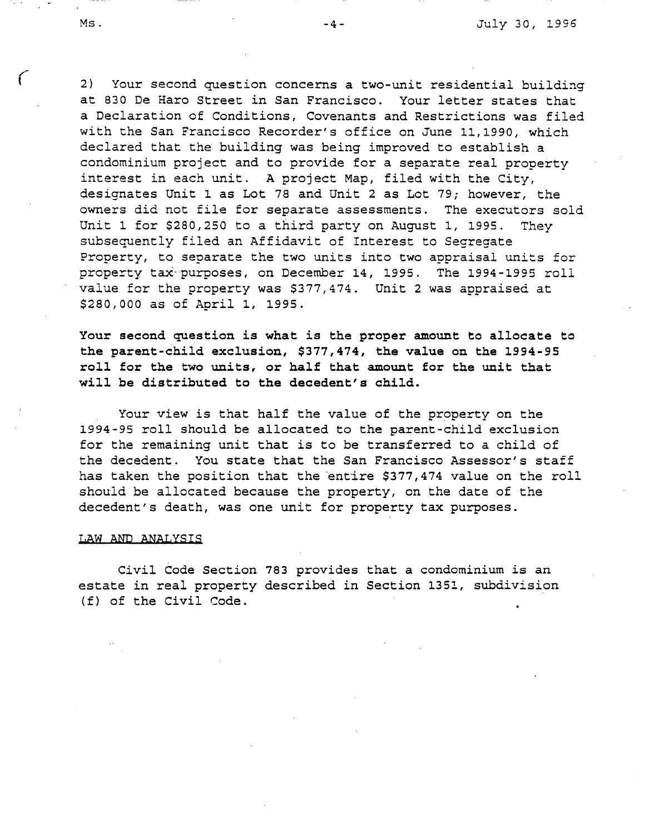2) Your second question concerns a two-unit residential building at 830 De Haro Street in San Francisco. Your letter states that a Declaration of Conditions, Covenants and Restrictions was filed with the San Francisco Recorder's office on June 11,1990, which declared that the building was being improved to establish a condominium project and to provide for a separate real property interest in each unit. A project Map, filed with the City, designates Unit 1 as Lot 78 and Unit 2 as Lot 79; however, the owners did not file for separate assessments. The executors sold Unit 1 for \$280,250 to a third party on August 1, 1995. They subsequently filed an Affidavit of Interest to Segregate Property, to separate the two units into two appraisal units for property tax-purposes, on December 14, 1995. The 1994-1995 roll value for the property was \$377,474. Unit 2 was appraised at \$280,000 as of April 1, 1995.

**Your second question is what is the proper amount to allocate to the parent-child exclusion, \$377,474, the value on the 1994-95 roll for the two units, or half that amount for the** unit **that will be distributed to the decedent's child.** 

Your view is that half the value of the property on the 1994-95 roll should be allocated to the parent-child exclusion for the remaining unit that is to be transferred to a child of the decedent. You state that the San Francisco Assessor's staff has taken the position that the entire \$377,474 value on the roll should be allocated because the property, on the date of the decedent's death, was one unit for property tax purposes.

## **LAW AND ANALYSIS**

Civil Code Section 783 provides that a condominium is an estate in real property described in Section 1351, subdivision (f) of the Civil Code.

*(*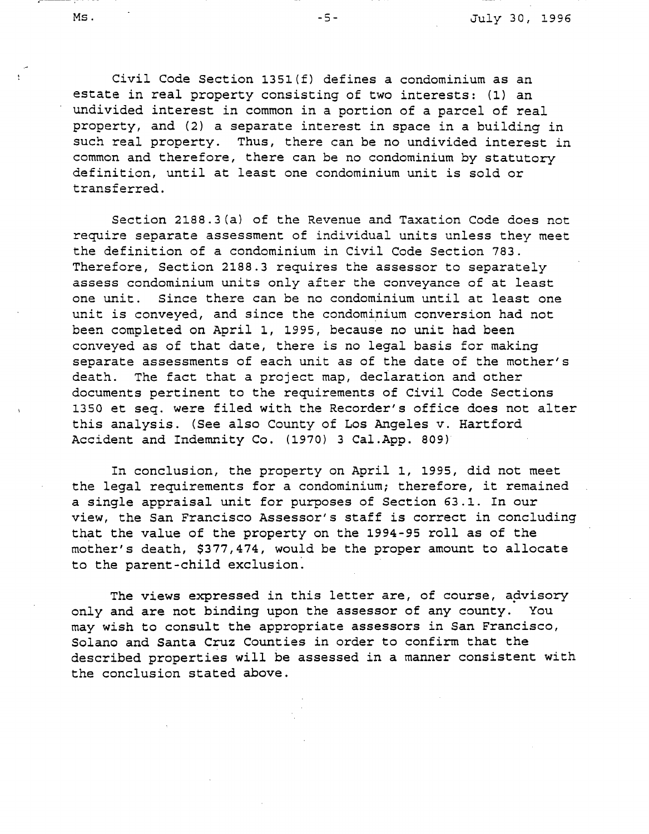Civil Code Section 135l(f) defines a condominium as an estate in real property consisting of two interests: (1) an undivided interest in common in a portion of a parcel of real property, and (2) a separate interest in space in a building in such real property. Thus, there can be no undivided interest in common and therefore, there can be no condominium by statutory definition, until at least one condominium unit is sold or transferred.

Section 2188.3(a) of the Revenue and Taxation Code does not require separate assessment of individual units unless they meet the definition of a condominium in Civil Code Section 783. Therefore, Section 2188.3 requires the assessor to separately assess condominium units only after the conveyance of at least one unit. Since there can be no condominium until at least one unit is conveyed, and since the condominium conversion had not been completed on April 1, 1995, because no unit had been conveyed as of that date, there is no legal basis for making separate assessments of each unit as of the date of the mother's death. The fact that a project map, declaration and other documents pertinent to the requirements of Civil Code Sections 1350 et seq. were filed with the Recorder's office does not alter this analysis. (See also County of Los Angeles v. Hartford Accident and Indemnity Co. (1970) 3 Cal.App. 809)

In conclusion, the property on April 1, 1995, did not meet the legal requirements for a condominium; therefore, it remained a single appraisal unit for purposes of Section 63.1. In our view, the San Francisco Assessor's staff is correct in concluding that the value of the property on the 1994-95 roll as of the mother's death, \$377,474, would be the proper amount to allocate to the parent-child exclusion.

The views expressed in this letter are, of course, advisory only and are not binding upon the assessor of any county. You may wish to consult the appropriate assessors in San Francisco, Solano and Santa Cruz Counties in order to confirm that the described properties will be assessed in a manner consistent with the conclusion stated above.